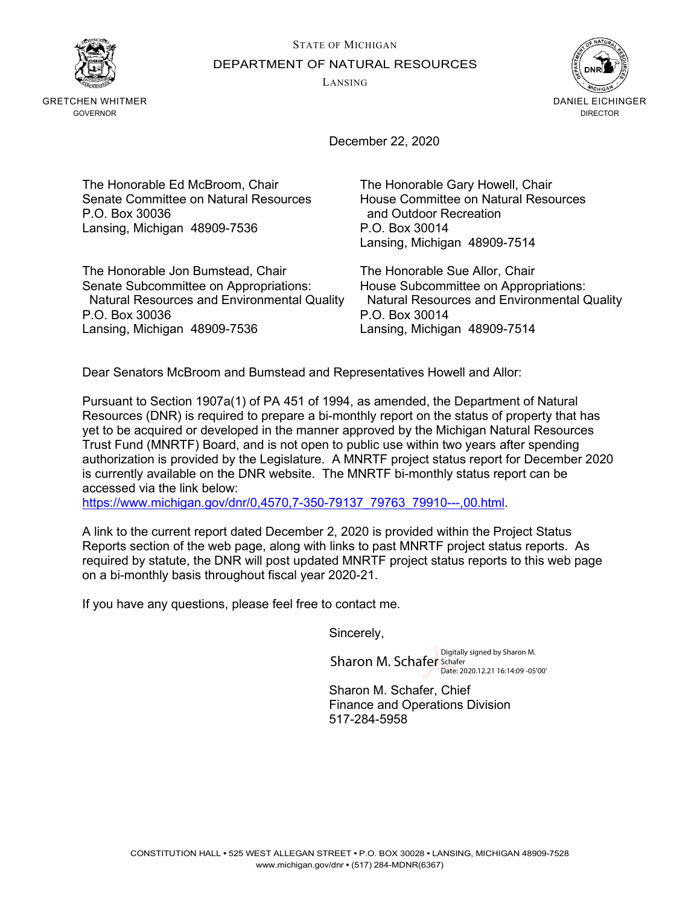STATE OF MICHIGAN DEPARTMENT OF NATURAL RESOURCES

LANSING



GRETCHEN WHITMER GOVERNOR



December 22, 2020

The Honorable Ed McBroom, Chair The Honorable Gary Howell, Chair<br>Senate Committee on Natural Resources House Committee on Natural Resources Senate Committee on Natural Resources P.O. Box 30036 **and Outdoor Recreation** Lansing, Michigan 48909-7536 P.O. Box 30014

The Honorable Jon Bumstead, Chair The Honorable Sue Allor, Chair Natural Resources and Environmental Quality P.O. Box 30036 P.O. Box 30014 Lansing, Michigan 48909-7536 Lansing, Michigan 48909-7514

Lansing, Michigan 48909-7514

Senate Subcommittee on Appropriations: House Subcommittee on Appropriations:

Dear Senators McBroom and Bumstead and Representatives Howell and Allor:

Pursuant to Section 1907a(1) of PA 451 of 1994, as amended, the Department of Natural Resources (DNR) is required to prepare a bi-monthly report on the status of property that has yet to be acquired or developed in the manner approved by the Michigan Natural Resources Trust Fund (MNRTF) Board, and is not open to public use within two years after spending authorization is provided by the Legislature. A MNRTF project status report for December 2020 is currently available on the DNR website. The MNRTF bi-monthly status report can be accessed via the link below:

[https://www.michigan.gov/dnr/0,4570,7-350-79137\\_79763\\_79910---,00.html.](https://www.michigan.gov/dnr/0,4570,7-350-79137_79763_79910---,00.html)

A link to the current report dated December 2, 2020 is provided within the Project Status Reports section of the web page, along with links to past MNRTF project status reports. As required by statute, the DNR will post updated MNRTF project status reports to this web page on a bi-monthly basis throughout fiscal year 2020-21.

If you have any questions, please feel free to contact me.

Sincerely,

Sharon M. Schafer Schafer Date: 2020.12.21 16:14:09 -05'00'

Sharon M. Schafer, Chief Finance and Operations Division 517-284-5958